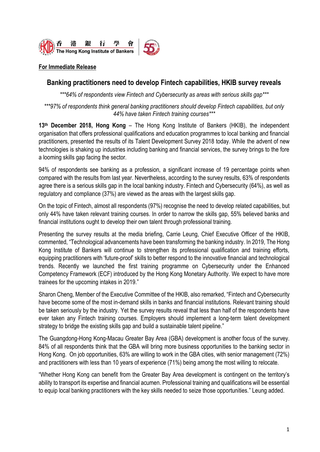

#### **For Immediate Release**

## **Banking practitioners need to develop Fintech capabilities, HKIB survey reveals**

*\*\*\*64% of respondents view Fintech and Cybersecurity as areas with serious skills gap\*\*\**

#### *\*\*\*97% of respondents think general banking practitioners should develop Fintech capabilities, but only 44% have taken Fintech training courses\*\*\**

**13th December 2018, Hong Kong** – The Hong Kong Institute of Bankers (HKIB), the independent organisation that offers professional qualifications and education programmes to local banking and financial practitioners, presented the results of its Talent Development Survey 2018 today. While the advent of new technologies is shaking up industries including banking and financial services, the survey brings to the fore a looming skills gap facing the sector.

94% of respondents see banking as a profession, a significant increase of 19 percentage points when compared with the results from last year. Nevertheless, according to the survey results, 63% of respondents agree there is a serious skills gap in the local banking industry. Fintech and Cybersecurity (64%), as well as regulatory and compliance (37%) are viewed as the areas with the largest skills gap.

On the topic of Fintech, almost all respondents (97%) recognise the need to develop related capabilities, but only 44% have taken relevant training courses. In order to narrow the skills gap, 55% believed banks and financial institutions ought to develop their own talent through professional training.

Presenting the survey results at the media briefing, Carrie Leung, Chief Executive Officer of the HKIB, commented, "Technological advancements have been transforming the banking industry. In 2019, The Hong Kong Institute of Bankers will continue to strengthen its professional qualification and training efforts, equipping practitioners with 'future-proof' skills to better respond to the innovative financial and technological trends. Recently we launched the first training programme on Cybersecurity under the Enhanced Competency Framework (ECF) introduced by the Hong Kong Monetary Authority. We expect to have more trainees for the upcoming intakes in 2019."

Sharon Cheng, Member of the Executive Committee of the HKIB, also remarked, "Fintech and Cybersecurity have become some of the most in-demand skills in banks and financial institutions. Relevant training should be taken seriously by the industry. Yet the survey results reveal that less than half of the respondents have ever taken any Fintech training courses. Employers should implement a long-term talent development strategy to bridge the existing skills gap and build a sustainable talent pipeline."

The Guangdong-Hong Kong-Macau Greater Bay Area (GBA) development is another focus of the survey. 84% of all respondents think that the GBA will bring more business opportunities to the banking sector in Hong Kong. On job opportunities, 63% are willing to work in the GBA cities, with senior management (72%) and practitioners with less than 10 years of experience (71%) being among the most willing to relocate.

"Whether Hong Kong can benefit from the Greater Bay Area development is contingent on the territory's ability to transport its expertise and financial acumen. Professional training and qualifications will be essential to equip local banking practitioners with the key skills needed to seize those opportunities." Leung added.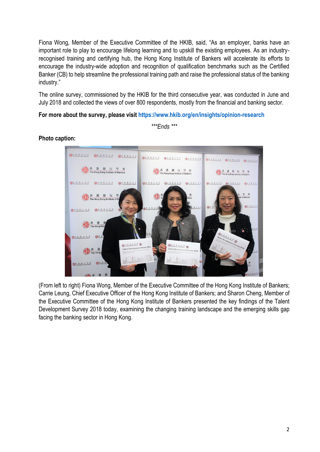Fiona Wong, Member of the Executive Committee of the HKIB, said, "As an employer, banks have an important role to play to encourage lifelong learning and to upskill the existing employees. As an industryrecognised training and certifying hub, the Hong Kong Institute of Bankers will accelerate its efforts to encourage the industry-wide adoption and recognition of qualification benchmarks such as the Certified Banker (CB) to help streamline the professional training path and raise the professional status of the banking industry."

The online survey, commissioned by the HKIB for the third consecutive year, was conducted in June and July 2018 and collected the views of over 800 respondents, mostly from the financial and banking sector.

**For more about the survey, please visit<https://www.hkib.org/en/insights/opinion-research>**

*\*\*\*Ends \*\*\**

# **Photo caption:**



(From left to right) Fiona Wong, Member of the Executive Committee of the Hong Kong Institute of Bankers; Carrie Leung, Chief Executive Officer of the Hong Kong Institute of Bankers; and Sharon Cheng, Member of the Executive Committee of the Hong Kong Institute of Bankers presented the key findings of the Talent Development Survey 2018 today, examining the changing training landscape and the emerging skills gap facing the banking sector in Hong Kong.